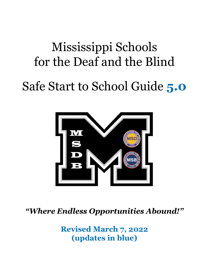# Mississippi Schools for the Deaf and the Blind

# Safe Start to School Guide **5.0**



*"Where Endless Opportunities Abound!"*

**Revised March 7, 2022 (updates in blue)**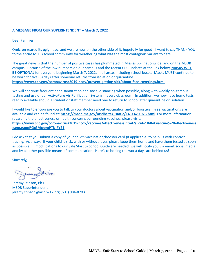#### **A MESSAGE FROM OUR SUPERINTENDENT – March 7, 2022**

Dear Families,

Omicron reared its ugly head, and we are now on the other side of it, hopefully for good! I want to say THANK YOU to the entire MSDB school community for weathering what was the most contagious variant to date.

The great news is that the number of positive cases has plummeted in Mississippi, nationwide, and on the MSDB campus. Because of the low numbers on our campus and the recent CDC updates at the link below, **MASKS WILL BE OPTIONAL** for everyone beginning March 7, 2022, in all areas including school buses. Masks MUST continue to be worn for five (5) days after someone returns from isolation or quarantine. **<https://www.cdc.gov/coronavirus/2019-ncov/prevent-getting-sick/about-face-coverings.html>,**

We will continue frequent hand sanitization and social distancing when possible, along with weekly on-campus testing and use of our ActivePure Air Purification System in every classroom. In addition, we now have home tests readily available should a student or staff member need one to return to school after quarantine or isolation.

I would like to encourage you to talk to your doctors about vaccination and/or boosters. Free vaccinations are available and can be found at: **[https://msdh.ms.gov/msdhsite/\\_static/14,0,420,976.html](https://msdh.ms.gov/msdhsite/_static/14,0,420,976.html)** For more information regarding the effectiveness or health concerns surrounding vaccines, please visit: **[https://www.cdc.gov/coronavirus/2019-ncov/vaccines/effectiveness.html?s\\_cid=10464:vaccine%20effectiveness](https://www.cdc.gov/coronavirus/2019-ncov/vaccines/effectiveness.html?s_cid=10464:vaccine%20effectiveness:sem.ga:p:RG:GM:gen:PTN:FY21) [:sem.ga:p:RG:GM:gen:PTN:FY21](https://www.cdc.gov/coronavirus/2019-ncov/vaccines/effectiveness.html?s_cid=10464:vaccine%20effectiveness:sem.ga:p:RG:GM:gen:PTN:FY21)**

I do ask that you submit a copy of your child's vaccination/booster card (if applicable) to help us with contact tracing. As always, if your child is sick, with or without fever, please keep them home and have them tested as soon as possible. If modifications to our Safe Start to School Guide are needed, we will notify you via email, social media, and by all other possible means of communication. Here's to hoping the worst days are behind us!

Sincerely,

Jeremy Stinson, Ph.D. MSDB Superintendent [jeremy.stinson@msdbk12.org](mailto:jeremy.stinson@msdbk12.org) (601) 984-8203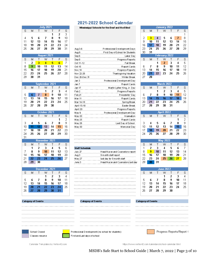#### 2021-2022 School Calendar

Mississippi Schools for the Deaf and the B lind

| Aug 3-6          | Professional Dievelopmient Days  |
|------------------|----------------------------------|
| Aug 9            | First Day of School for Students |
| Sep 6            | Labor Day                        |
| Sep 8            | Progress Reports                 |
| Oct 11-12        | Fall Break                       |
| Oct 15           | Report Cards                     |
| Nov 10           | Progress Reports                 |
| Nov 22-26        | Thanksgiving Vacation            |
| Dec 20-Dec 31    | Winter Break                     |
| Jan 3            | Professional D evelopm ent Day   |
| Jan 7            | Report Cards                     |
| Jan 17           | Martin Luther King, Jr. Day      |
| Feb <sub>2</sub> | Progress Reports                 |
| Feb 21           | Presidents' Day                  |
| Mar 11           | Report Cards                     |
| Mar 14-18        | Spring Break                     |
| April 15-18      | Easter Break                     |
| April 20         | Progress Reports                 |
| May 9            | Professional Development Day     |
| May 20           | Graduation                       |
| May 25           | Report Cards                     |
| May 26           | Last Day of School               |
| M ay 30          | Memorial Dav                     |

| <b>Staff Schedule</b> |                                    |
|-----------------------|------------------------------------|
| July 27               | Head Nurse and Counselors report   |
| Aug 3                 | 9 m onth staff report              |
| May 27                | last day for 9 month staff         |
| June 3.               | Head Nurse and Counselors last day |

| 16      | 17                                                                                | 18                                                                    | 19                                                                           | 20                                                                | 21                                                                                                                                           |
|---------|-----------------------------------------------------------------------------------|-----------------------------------------------------------------------|------------------------------------------------------------------------------|-------------------------------------------------------------------|----------------------------------------------------------------------------------------------------------------------------------------------|
| 23      | 24                                                                                | 25                                                                    | 26                                                                           | 27                                                                | 28                                                                                                                                           |
| 30      | 31                                                                                |                                                                       |                                                                              |                                                                   |                                                                                                                                              |
|         |                                                                                   |                                                                       |                                                                              |                                                                   |                                                                                                                                              |
| S       | м                                                                                 | T                                                                     | W                                                                            | T                                                                 | F                                                                                                                                            |
|         |                                                                                   | 1                                                                     | 2                                                                            | 3                                                                 | 4                                                                                                                                            |
| 6       | 7                                                                                 | 8                                                                     | 9                                                                            | 10                                                                | 11                                                                                                                                           |
|         | 14                                                                                | 15                                                                    | 16                                                                           | 17                                                                | 18                                                                                                                                           |
| 20      | 21                                                                                | 22                                                                    | 23                                                                           | 24                                                                | 25                                                                                                                                           |
| 27      | 28                                                                                |                                                                       |                                                                              |                                                                   |                                                                                                                                              |
|         |                                                                                   |                                                                       |                                                                              |                                                                   |                                                                                                                                              |
|         |                                                                                   |                                                                       |                                                                              |                                                                   |                                                                                                                                              |
| S       | M                                                                                 | Τ                                                                     | W                                                                            | T                                                                 | F                                                                                                                                            |
|         |                                                                                   | 1                                                                     | 2                                                                            |                                                                   | 4                                                                                                                                            |
| 6       | 7                                                                                 | 8                                                                     | 9                                                                            | 10                                                                | 11                                                                                                                                           |
|         | 14                                                                                |                                                                       |                                                                              | 17                                                                | 18                                                                                                                                           |
|         |                                                                                   |                                                                       |                                                                              |                                                                   | 25                                                                                                                                           |
|         |                                                                                   |                                                                       |                                                                              |                                                                   |                                                                                                                                              |
|         |                                                                                   |                                                                       |                                                                              |                                                                   |                                                                                                                                              |
|         |                                                                                   |                                                                       |                                                                              |                                                                   |                                                                                                                                              |
|         |                                                                                   |                                                                       | W                                                                            |                                                                   | F                                                                                                                                            |
|         |                                                                                   |                                                                       |                                                                              |                                                                   | 1                                                                                                                                            |
|         |                                                                                   |                                                                       |                                                                              |                                                                   | 8                                                                                                                                            |
|         |                                                                                   |                                                                       |                                                                              |                                                                   | 15                                                                                                                                           |
|         |                                                                                   |                                                                       |                                                                              |                                                                   | 22                                                                                                                                           |
|         |                                                                                   |                                                                       |                                                                              |                                                                   | 29                                                                                                                                           |
|         |                                                                                   |                                                                       |                                                                              |                                                                   |                                                                                                                                              |
|         |                                                                                   |                                                                       |                                                                              |                                                                   |                                                                                                                                              |
|         |                                                                                   |                                                                       |                                                                              |                                                                   | F                                                                                                                                            |
|         |                                                                                   |                                                                       |                                                                              |                                                                   | 6                                                                                                                                            |
|         |                                                                                   |                                                                       |                                                                              |                                                                   | 13                                                                                                                                           |
|         |                                                                                   |                                                                       |                                                                              |                                                                   | 20                                                                                                                                           |
|         |                                                                                   |                                                                       |                                                                              |                                                                   | 27                                                                                                                                           |
|         |                                                                                   |                                                                       |                                                                              |                                                                   |                                                                                                                                              |
|         |                                                                                   |                                                                       |                                                                              |                                                                   |                                                                                                                                              |
|         |                                                                                   |                                                                       |                                                                              |                                                                   |                                                                                                                                              |
|         |                                                                                   |                                                                       |                                                                              |                                                                   |                                                                                                                                              |
|         |                                                                                   |                                                                       | <b>June 2022</b>                                                             |                                                                   |                                                                                                                                              |
| s       | M                                                                                 | Τ                                                                     | W                                                                            | Τ                                                                 | F                                                                                                                                            |
|         |                                                                                   |                                                                       | 1                                                                            | 2                                                                 | 3                                                                                                                                            |
| 5<br>12 | 6<br>13                                                                           | 7<br>14                                                               | 8<br>15                                                                      | 9<br>16                                                           | 10<br>17                                                                                                                                     |
|         | 13<br>13<br>20<br>27<br>S<br>3<br>10<br>17<br>24<br>S<br>1<br>8<br>15<br>22<br>29 | 21<br>28<br>M<br>4<br>11<br>18<br>25<br>M<br>2<br>9<br>16<br>23<br>30 | 15<br>22<br>29<br>Τ<br>5<br>12<br>19<br>26<br>T<br>3<br>10<br>17<br>24<br>31 | 16<br>23<br>30<br>6<br>13<br>20<br>27<br>W<br>4<br>11<br>18<br>25 | February 2022<br>March 2022<br>3<br>24<br>31<br><b>April 2022</b><br>T<br>7<br>14<br>21<br>28<br><b>May 2022</b><br>T<br>5<br>12<br>19<br>26 |

January 2022

W

Τ

 $\top$ 

 $\left| 4 \right\rangle$  $\overline{7}$  S

S

 $\mathbb S$ 

 $\overline{\mathbf{s}}$ 

 $\overline{2}$ 

 $\overline{\mathbb{S}}$ 

F

S. M

 $\sqrt{2}$ 

 $3<sup>°</sup>$ 

| s  | м  | $\top$ | W  | т  | F  |    |
|----|----|--------|----|----|----|----|
|    |    |        | 1  | 2  | 3  |    |
| 5  | 6  | 7      | 8  | 9  | 10 | 11 |
| 12 | 13 | 14     | 15 | 16 | 17 | 18 |
| 19 | 20 | 21     | 22 | 23 | 24 | 25 |
| 26 | 27 | 28     | 29 | 30 |    |    |



|  | Calendar Templates by Vertex42.com |
|--|------------------------------------|

https://www.vertex42.com/calendars/school-calendar.html

MSDB's Safe Start to School Guide | March 7, 2022 | Page 3 of 10

### **Category of Events**





**July 2021** 

W  $\mathsf{T}$ 

August 2021

 $\blacktriangleleft$  $5<sub>1</sub>$  $6<sub>1</sub>$ 

September 2021

W  $\top$ 

 $\overline{1}$  $\overline{2}$ 

 $30\,$ 

October 2021

W  $\top$ 

November 2021

W  $\top$ 

 $\boldsymbol{4}$ 

 ${\bf 10}$ 

December 2021

W

F S

 $\overline{2}$ 

 $\overline{9}$ 

F S

 $\mathsf F$ S

 $\overline{\mathbf{3}}$ 

> F

> $\overline{\mathsf{F}}$  $\overline{\mathbb{S}}$

F

 $\overline{\mathbf{s}}$ 

 $\boldsymbol{9}$ 

 $\mathbb S$ 

 $\overline{9}$ 

Τ  $\overline{\mathbf{2}}$ 

S

 $\overline{4}$ 

S

 $\mathbf{1}$ 

 $30\,$ 

S

S M  $\top$ 

 $10<sub>1</sub>$ 

 $\overline{\mathbb{S}}$ M

 $\overline{7}$ 

S M

М

M

 $\overline{9}$ 

M

 $\overline{13}$ 

-22

Category of Events

Τ

T. W  $\top$ 

 $\top$ 

 $\top$  $\overline{\mathbf{2}}$ 

 $\overline{9}$ 

Τ

Professional Dievelopment (no school for students) First and Last days of school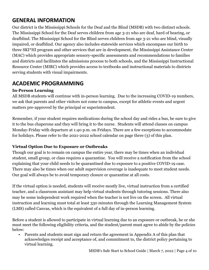# **GENERAL INFORMATION**

Our district is the Mississippi Schools for the Deaf and the Blind (MSDB) with two distinct schools. The Mississippi School for the Deaf serves children from age 3-21 who are deaf, hard of hearing, or deafblind. The Mississippi School for the Blind serves children from age 3-21 who are blind, visually impaired, or deafblind. Our agency also includes statewide services which encompass our birth to three SKI\*HI program and other services that are in development, the Mississippi Assistance Center (MAC) which provides appropriate sensory-specific assessments and recommendations to families and districts and facilitates the admissions process to both schools, and the Mississippi Instructional Resource Center (MIRC) which provides access to textbooks and instructional materials to districts serving students with visual impairments.

# **ACADEMIC PROGRAMMING**

#### **In-Person Learning**

All MSDB students will continue with in-person learning. Due to the increasing COVID-19 numbers, we ask that parents and other visitors not come to campus, except for athletic events and urgent matters pre-approved by the principal or superintendent.

Remember, if your student requires medications during the school day and rides a bus, be sure to give it to the bus chaperone and they will bring it to the nurse. Students will attend classes on campus Monday-Friday with departure at 1:40 p.m. on Fridays. There are a few exceptions to accommodate for holidays. Please refer to the 2021-2022 school calendar on page three (3) of this plan.

### **Virtual Option Due to Exposure or Outbreaks**

Though our goal is to remain on campus the entire year, there may be times when an individual student, small group, or class requires a quarantine. You will receive a notification from the school explaining that your child needs to be quarantined due to exposure to a positive COVID-19 case. There may also be times when our adult supervision coverage is inadequate to meet student needs. Our goal will always be to avoid temporary closure or quarantine at all costs.

If the virtual option is needed, students will receive mostly live, virtual instruction from a certified teacher, and a classroom assistant may help virtual students through tutoring sessions. There also may be some independent work required when the teacher is not live on the screen. All virtual instruction and learning must total at least 330 minutes through the Learning Management System (LMS) called Canvas, which is the equivalent of a full day of in-person learning.

Before a student is allowed to participate in virtual learning due to an exposure or outbreak, he or she must meet the following eligibility criteria, and the student/parent must agree to abide by the policies below:

• Parents and students must sign and return the agreement in Appendix A of this plan that acknowledges receipt and acceptance of, and commitment to, the district policy pertaining to virtual learning.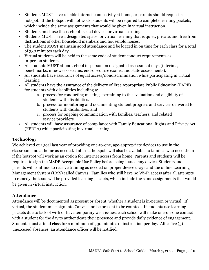- Students MUST have reliable internet connectivity at home, or parents should request a hotspot. If the hotspot will not work, students will be required to complete learning packets, which include the same assignments that would be given in virtual instruction.
- Students must use their school-issued device for virtual learning.
- Students MUST have a designated space for virtual learning that is quiet, private, and free from distractions of other household members and household noises.
- The student MUST maintain good attendance and be logged in on time for each class for a total of 330 minutes each day.
- Virtual students will be held to the same code of student conduct requirements as in-person students.
- All students MUST attend school in-person on designated assessment days (interims, benchmarks, nine-weeks exams, end-of-course exams, and state assessments).
- All students have assurance of equal access/nondiscrimination while participating in virtual learning.
- All students have the assurance of the delivery of Free Appropriate Public Education (FAPE) for students with disabilities including a:
	- a. process for conducting meetings pertaining to the evaluation and eligibility of students with disabilities.
	- b. process for monitoring and documenting student progress and services delivered to students with disabilities; and
	- c. process for ongoing communication with families, teachers, and related service providers.
- All students will have assurance of compliance with Family Educational Rights and Privacy Act (FERPA) while participating in virtual learning.

#### **Technology**

We achieved our goal last year of providing one-to-one, age-appropriate devices to use in the classroom and at home as needed. Internet hotspots will also be available to families who need them if the hotspot will work as an option for Internet access from home. Parents and students will be required to sign the MSDB Acceptable Use Policy before being issued any device. Students and parents will continue to receive training as needed on proper device usage and the online Learning Management System (LMS) called Canvas. Families who still have no Wi-Fi access after all attempts to remedy the issue will be provided learning packets, which include the same assignments that would be given in virtual instruction.

#### **Attendance**

Attendance will be documented as present or absent, whether a student is in-person or virtual. If virtual, the student must sign into Canvas and be present to be counted. If students use learning packets due to lack of wi-fi or have temporary wi-fi issues, each school will make one-on-one contact with a student for the day to authenticate their presence and provide daily evidence of engagement. Students must attend class for a minimum of 330 minutes of instruction per day. After five (5) unexcused absences, an attendance officer will be notified.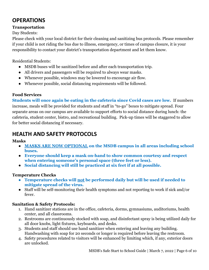# **OPERATIONS**

#### **Transportation**

#### Day Students:

Please check with your local district for their cleaning and sanitizing bus protocols. Please remember if your child is not riding the bus due to illness, emergency, or times of campus closure, it is your responsibility to contact your district's transportation department and let them know.

Residential Students:

- MSDB buses will be sanitized before and after each transportation trip.
- All drivers and passengers will be required to always wear masks.
- Whenever possible, windows may be lowered to encourage air flow.
- Whenever possible, social distancing requirements will be followed.

#### **Food Services**

**Students will once again be eating in the cafeteria since Covid cases are low.** If numbers increase, meals will be provided for students and staff in "to-go" boxes to mitigate spread. Four separate areas on our campus are available to support efforts to social distance during lunch: the cafeteria, student center, bistro, and recreational building. Pick-up times will be staggered to allow for better social distancing if necessary.

# **HEALTH AND SAFETY PROTOCOLS**

#### **Masks**

- **MASKS ARE NOW OPTIONAL on the MSDB campus in all areas including school buses.**
- **Everyone should keep a mask on-hand to show common courtesy and respect when entering someone's personal space (three feet or less).**
- **Social distancing will still be practiced at six feet if at all possible.**

#### **Temperature Checks**

- **● Temperature checks will not be performed daily but will be used if needed to mitigate spread of the virus.**
- Staff will be self-monitoring their health symptoms and not reporting to work if sick and/or fever.

#### **Sanitation & Safety Protocols:**

- 1. Hand sanitizer stations are in the office, cafeteria, dorms, gymnasiums, auditoriums, health center, and all classrooms.
- 2. Restrooms are continuously stocked with soap, and disinfectant spray is being utilized daily for all door knobs, light fixtures, keyboards, and desks.
- 3. Students and staff should use hand sanitizer when entering and leaving any building. Handwashing with soap for 20 seconds or longer is required before leaving the restroom.
- 4. Safety procedures related to visitors will be enhanced by limiting which, if any, exterior doors are unlocked.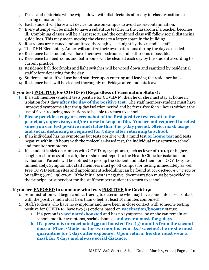- 5. Desks and materials will be wiped down with disinfectants after any in-class transition or sharing of materials.
- 6. Each student will have a 1:1 device for use on campus to avoid cross-contamination.
- 7. Every attempt will be made to have a substitute teacher in the classroom if a teacher becomes ill. Combining classes will be a last resort, and the combined class will follow social distancing guidelines. This may mean moving the classes to a larger space in the building.
- 8. Restrooms are cleaned and sanitized thoroughly each night by the custodial staff.
- 9. The DHH Elementary Annex will sanitize their own bathrooms during the day as needed.
- 10. Residence hall students will have their own bedrooms and bathrooms if possible.
- 11. Residence hall bedrooms and bathrooms will be cleaned each day by the student according to current practice.
- 12. Residence hall doorknobs and light switches will be wiped down and sanitized by residential staff before departing for the day.
- 13. Students and staff will use hand sanitizer upon entering and leaving the residence halls.
- 14. Residence halls will be cleaned thoroughly on Fridays after students leave.

#### **If you test POSITIVE for COVID-19 (Regardless of Vaccination Status):**

- **1.** If a staff member/student tests positive for COVID-19, then he or she must stay at home in isolation for 5 days **after the day of the positive test**. The staff member/student must have improved symptoms after the 5-day isolation period and be fever-free for 24 hours without the use of fever-reducing medications to be able to return to school.
- **2. Please provide a copy or screenshot of the first positive test result to the principal, supervisor, and/or nurse to keep on file. You are not required to retest since you can test positive much later than the 5-day period. Strict mask usage and social distancing is required for 5 days after returning to school.**
- 3. If an individual has no symptoms but tests positive with a rapid test **or home test** and tests negative within 48 hours with the molecular-based test, the individual may return to school and monitor symptoms.
- 4. If a student is sick on campus with COVID-19 symptoms (such as fever of **100.4** or higher, cough, or shortness of breath), he or she must report to the Health Clinic for isolation and evaluation. Parents will be notified to pick up the student and take them for a COVID-19 test immediately. Symptomatic staff members must go off campus for testing immediately as well. Free COVID testing sites and appointment scheduling can be found at [covidschedule.umc.edu](http://covidschedule.umc.edu/) or by calling (601) 496-7200. If the initial test is negative, documentation must be provided to the principal or supervisor for the staff member/student to return to school.

#### **If you are EXPOSED to someone who tests POSITIVE for Covid-19:**

- 1. Administration will begin contact tracing to determine who may have come into close contact with the positive individual (less than 6 feet, at least 15 minutes combined).
- 2. Staff/students who have no symptoms and have been in close contact with someone testing positive for COVID-19, have two (2) options based on **vaccination/booster** status:
	- a. If a person is **vaccinated/boosted** and has no symptoms, he or she can remain at school, monitor symptoms, social distance, **and wear a mask for 5 days**.
	- **b. If a person is unvaccinated or not boosted five (5) months from the second dose of Pfizer/Moderna (or two months from J&J vaccine), he or she must quarantine for 5 days after exposure. Upon return, he/she must wear a mask for 5 days and always social distance.**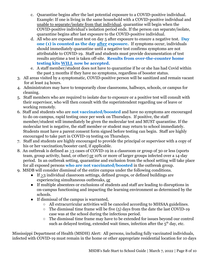- c. Quarantine begins after the last potential exposure to a COVID-positive individual. Example: If one is living in the same household with a COVID-positive individual and unable to separate/isolate from that individual, quarantine will begin when the COVID-positive individual's isolation period ends. If the person can separate/isolate, quarantine begins after last exposure to the COVID-positive individual.
- d. All who are exposed must test on day 5 after exposure to ensure a negative test. **Day one (1) is counted as the day after exposure.** If symptoms occur, individuals should immediately quarantine until a negative test confirms symptoms are not attributable to COVID-19. Staff and students must provide documentation of test results anytime a test is taken off-site. **Results from over-the-counter home testing kits WILL now be accepted.**
- e. A staff member/student does not have to quarantine if he or she has had Covid within the past 3 months if they have no symptoms, regardless of booster status.
- 3. All areas visited by a symptomatic, COVID-positive person will be sanitized and remain vacant for at least 24 hours.
- 4. Administrators may have to temporarily close classrooms, hallways, schools, or campus for cleaning.
- 5. Staff members who are required to isolate due to exposure or a positive test will consult with their supervisor, who will then consult with the superintendent regarding use of leave or working remotely.
- 6. Staff and students who are **not vaccinated/boosted** and have no symptoms are encouraged to do on-campus, rapid testing once per week on Thursdays. If positive, the staff member/student will immediately be given the molecular test and MUST quarantine. If the molecular test is negative, the staff member or student may return to school immediately. Students must have a parent consent form signed before testing can begin. Staff are highly encouraged to take part in COVID-19 testing on Thursdays.
- 7. Staff and students are highly encouraged to provide the principal or supervisor with a copy of his or her vaccination/booster card, if applicable.
- 8. An outbreak is defined as >3 cases of COVID-19 in a classroom or group of 30 or less (sports team, group activity, band, or other) or 10% or more of larger groups infected over a 14-day period. In an outbreak setting, quarantine and exclusion from the school setting will take place for all exposed persons **who are not vaccinated/boosted** in the outbreak group.
- 9. MSDB will consider dismissal of the entire campus under the following conditions.
	- If >3 individual classroom settings, defined groups, or defined buildings are experiencing simultaneous outbreaks, or
	- If multiple absentees or exclusions of students and staff are leading to disruptions in on-campus functioning and impacting the learning environment as determined by the schools.
	- If dismissal of the campus is warranted,
		- All extracurricular activities will be canceled according to MHSAA guidelines.
		- $\circ$  The dismissal time frame will be five (5) days from the date the last COVID-19 case was at the school during the infectious period.
		- The dismissal time frame may have to be extended for issues beyond our control such as delayed testing, extended wait times, infection after the  $5<sup>th</sup>$  day, etc.

Mississippi Department of Health (MSDH) Alert: All persons, including fully vaccinated individuals, infected with COVID-19 must remain in the home or other appropriate residential location for 10 days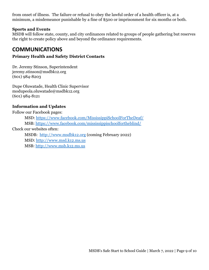from onset of illness. The failure or refusal to obey the lawful order of a health officer is, at a minimum, a misdemeanor punishable by a fine of \$500 or imprisonment for six months or both.

#### **Sports and Events**

MSDB will follow state, county, and city ordinances related to groups of people gathering but reserves the right to create policy above and beyond the ordinance requirements.

# **COMMUNICATIONS**

#### **Primary Health and Safety District Contacts**

Dr. Jeremy Stinson, Superintendent jeremy.stinson@msdbk12.org (601) 984-8203

Dupe Oluwatade, Health Clinic Supervisor modupeola.oluwatade@msdbk12.org (601) 984-8121

#### **Information and Updates**

Follow our Facebook pages:

MSD: <https://www.facebook.com/MississippiSchoolForTheDeaf/> MSB: <https://www.facebook.com/mississippischoolfortheblind/>

Check our websites often:

MSDB: <http://www.msdbk12.org> (coming February 2022) MSD: <http://www.msd.k12.ms.us> MSB: <http://www.msb.k12.ms.us>